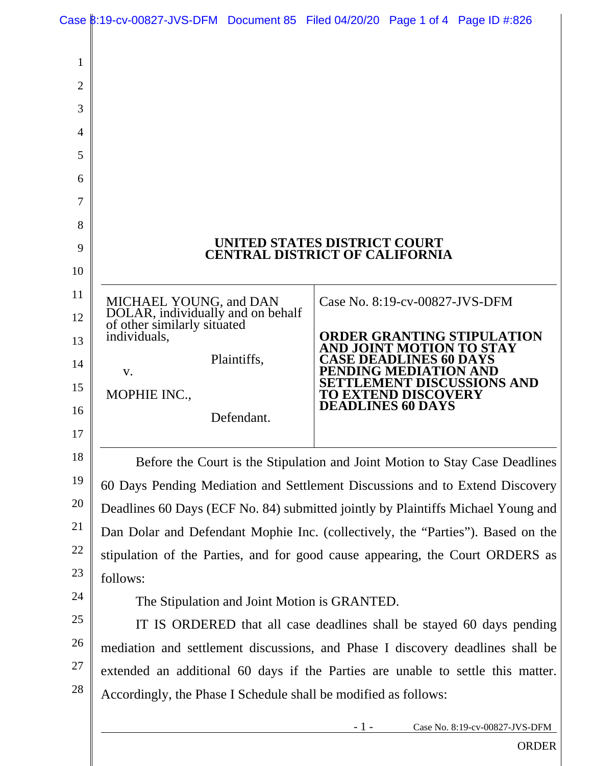|                                                                                        | Case B:19-cv-00827-JVS-DFM Document 85 Filed 04/20/20 Page 1 of 4 Page ID #:826            |  |
|----------------------------------------------------------------------------------------|--------------------------------------------------------------------------------------------|--|
|                                                                                        |                                                                                            |  |
|                                                                                        |                                                                                            |  |
|                                                                                        |                                                                                            |  |
|                                                                                        |                                                                                            |  |
|                                                                                        |                                                                                            |  |
|                                                                                        |                                                                                            |  |
|                                                                                        |                                                                                            |  |
|                                                                                        |                                                                                            |  |
|                                                                                        |                                                                                            |  |
| UNITED STATES DISTRICT COURT<br><b>CENTRAL DISTRICT OF CALIFORNIA</b>                  |                                                                                            |  |
|                                                                                        |                                                                                            |  |
|                                                                                        | Case No. 8:19-cv-00827-JVS-DFM                                                             |  |
|                                                                                        |                                                                                            |  |
| individuals,                                                                           | <b>ORDER GRANTING STIPULATION</b><br>AND JOINT MOTION TO STAY                              |  |
| Plaintiffs,<br>V.                                                                      | <b>CASE DEADLINES 60 DAYS</b><br>PENDING MEDIATION AND                                     |  |
| MOPHIE INC.,                                                                           | <b>SETTLEMENT DISCUSSIONS AND</b><br><b>TO EXTEND DISCOVERY</b>                            |  |
| Defendant.                                                                             | <b>DEADLINES 60 DAYS</b>                                                                   |  |
|                                                                                        |                                                                                            |  |
| Before the Court is the Stipulation and Joint Motion to Stay Case Deadlines            |                                                                                            |  |
| 60 Days Pending Mediation and Settlement Discussions and to Extend Discovery           |                                                                                            |  |
| 20<br>Deadlines 60 Days (ECF No. 84) submitted jointly by Plaintiffs Michael Young and |                                                                                            |  |
| 21<br>Dan Dolar and Defendant Mophie Inc. (collectively, the "Parties"). Based on the  |                                                                                            |  |
| 22<br>stipulation of the Parties, and for good cause appearing, the Court ORDERS as    |                                                                                            |  |
| 23<br>follows:                                                                         |                                                                                            |  |
| The Stipulation and Joint Motion is GRANTED.                                           |                                                                                            |  |
| IT IS ORDERED that all case deadlines shall be stayed 60 days pending                  |                                                                                            |  |
| mediation and settlement discussions, and Phase I discovery deadlines shall be         |                                                                                            |  |
| extended an additional 60 days if the Parties are unable to settle this matter.        |                                                                                            |  |
| Accordingly, the Phase I Schedule shall be modified as follows:                        |                                                                                            |  |
|                                                                                        | $-1-$<br>Case No. 8:19-cv-00827-JVS-DFM                                                    |  |
|                                                                                        | MICHAEL YOUNG, and DAN<br>DOLAR, individually and on behalf<br>of other similarly situated |  |

ORDER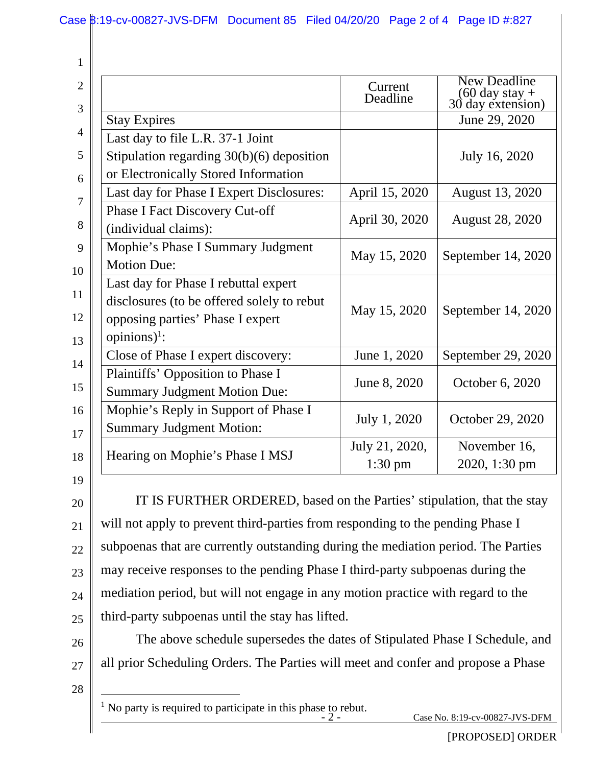| 1                   |                                                                                                                                                    |                           |                                                                      |
|---------------------|----------------------------------------------------------------------------------------------------------------------------------------------------|---------------------------|----------------------------------------------------------------------|
| $\overline{2}$<br>3 |                                                                                                                                                    | Current<br>Deadline       | <b>New Deadline</b><br>$(60 \text{ day stay} +$<br>30 day extension) |
|                     | <b>Stay Expires</b>                                                                                                                                |                           | June 29, 2020                                                        |
| 4                   | Last day to file L.R. 37-1 Joint                                                                                                                   |                           |                                                                      |
| 5                   | Stipulation regarding $30(b)(6)$ deposition                                                                                                        |                           | July 16, 2020                                                        |
| 6                   | or Electronically Stored Information                                                                                                               |                           |                                                                      |
| 7                   | Last day for Phase I Expert Disclosures:                                                                                                           | April 15, 2020            | <b>August 13, 2020</b>                                               |
| 8                   | <b>Phase I Fact Discovery Cut-off</b><br>(individual claims):                                                                                      | April 30, 2020            | August 28, 2020                                                      |
| 9<br>10             | Mophie's Phase I Summary Judgment<br><b>Motion Due:</b>                                                                                            | May 15, 2020              | September 14, 2020                                                   |
| 11<br>12<br>13      | Last day for Phase I rebuttal expert<br>disclosures (to be offered solely to rebut<br>opposing parties' Phase I expert<br>opinions) <sup>1</sup> : | May 15, 2020              | September 14, 2020                                                   |
| 14                  | Close of Phase I expert discovery:                                                                                                                 | June 1, 2020              | September 29, 2020                                                   |
| 15                  | Plaintiffs' Opposition to Phase I<br><b>Summary Judgment Motion Due:</b>                                                                           | June 8, 2020              | October 6, 2020                                                      |
| 16<br>17            | Mophie's Reply in Support of Phase I<br><b>Summary Judgment Motion:</b>                                                                            | July 1, 2020              | October 29, 2020                                                     |
| 18                  | Hearing on Mophie's Phase I MSJ                                                                                                                    | July 21, 2020,<br>1:30 pm | November 16,<br>2020, 1:30 pm                                        |
| 19<br>20            | IT IS FURTHER ORDERED, based on the Parties' stipulation, that the stay                                                                            |                           |                                                                      |
| 21                  | will not apply to prevent third-parties from responding to the pending Phase I                                                                     |                           |                                                                      |
| 22                  | subpoenas that are currently outstanding during the mediation period. The Parties                                                                  |                           |                                                                      |
| 23                  | may receive responses to the pending Phase I third-party subpoenas during the                                                                      |                           |                                                                      |
| 24                  | mediation period, but will not engage in any motion practice with regard to the                                                                    |                           |                                                                      |
| 25                  | third-party subpoenas until the stay has lifted.                                                                                                   |                           |                                                                      |
| 26                  | The above schedule supersedes the dates of Stipulated Phase I Schedule, and                                                                        |                           |                                                                      |
| 27                  | all prior Scheduling Orders. The Parties will meet and confer and propose a Phase                                                                  |                           |                                                                      |

28

 $\overline{a}$ 

<sup>1</sup> No party is required to participate in this phase to rebut.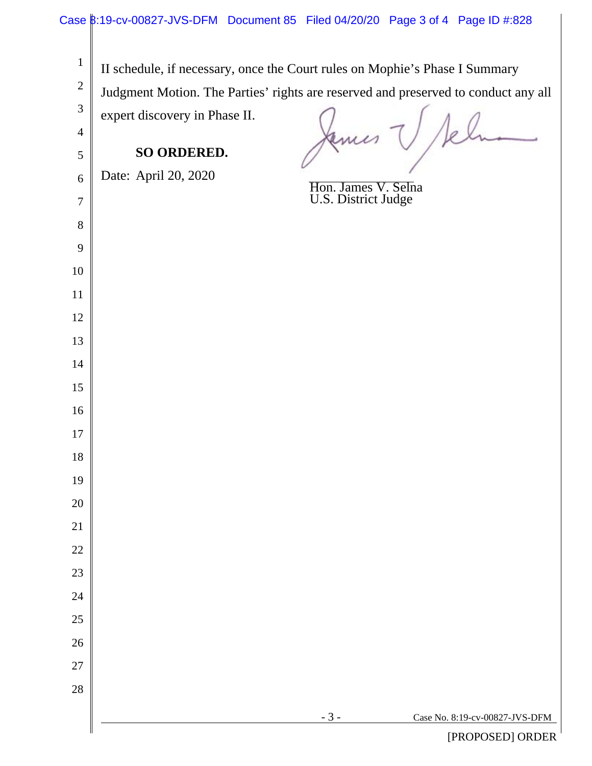|                                                                    | Case 8:19-cv-00827-JVS-DFM Document 85 Filed 04/20/20 Page 3 of 4 Page ID #:828                                                                                                                    |
|--------------------------------------------------------------------|----------------------------------------------------------------------------------------------------------------------------------------------------------------------------------------------------|
| $\mathbf{1}$<br>$\overline{2}$<br>$\mathfrak{Z}$<br>$\overline{4}$ | II schedule, if necessary, once the Court rules on Mophie's Phase I Summary<br>Judgment Motion. The Parties' rights are reserved and preserved to conduct any all<br>expert discovery in Phase II. |
| 5                                                                  | <b>SO ORDERED.</b>                                                                                                                                                                                 |
| 6                                                                  | Date: April 20, 2020                                                                                                                                                                               |
| $\overline{7}$                                                     | Hon. James V. Selna<br>U.S. District Judge                                                                                                                                                         |
| $8\,$                                                              |                                                                                                                                                                                                    |
| 9                                                                  |                                                                                                                                                                                                    |
| 10                                                                 |                                                                                                                                                                                                    |
| $11\,$                                                             |                                                                                                                                                                                                    |
| 12                                                                 |                                                                                                                                                                                                    |
| 13                                                                 |                                                                                                                                                                                                    |
| $14$                                                               |                                                                                                                                                                                                    |
| 15                                                                 |                                                                                                                                                                                                    |
| 16                                                                 |                                                                                                                                                                                                    |
| $17\,$                                                             |                                                                                                                                                                                                    |
| 18                                                                 |                                                                                                                                                                                                    |
| 19                                                                 |                                                                                                                                                                                                    |
| $20\,$                                                             |                                                                                                                                                                                                    |
| 21<br>$22\,$                                                       |                                                                                                                                                                                                    |
| 23                                                                 |                                                                                                                                                                                                    |
| 24                                                                 |                                                                                                                                                                                                    |
| 25                                                                 |                                                                                                                                                                                                    |
| $26\,$                                                             |                                                                                                                                                                                                    |
| 27                                                                 |                                                                                                                                                                                                    |
| 28                                                                 |                                                                                                                                                                                                    |
|                                                                    | $-3-$<br>Case No. 8:19-cv-00827-JVS-DFM                                                                                                                                                            |
|                                                                    | IDDOOORDIODORID                                                                                                                                                                                    |